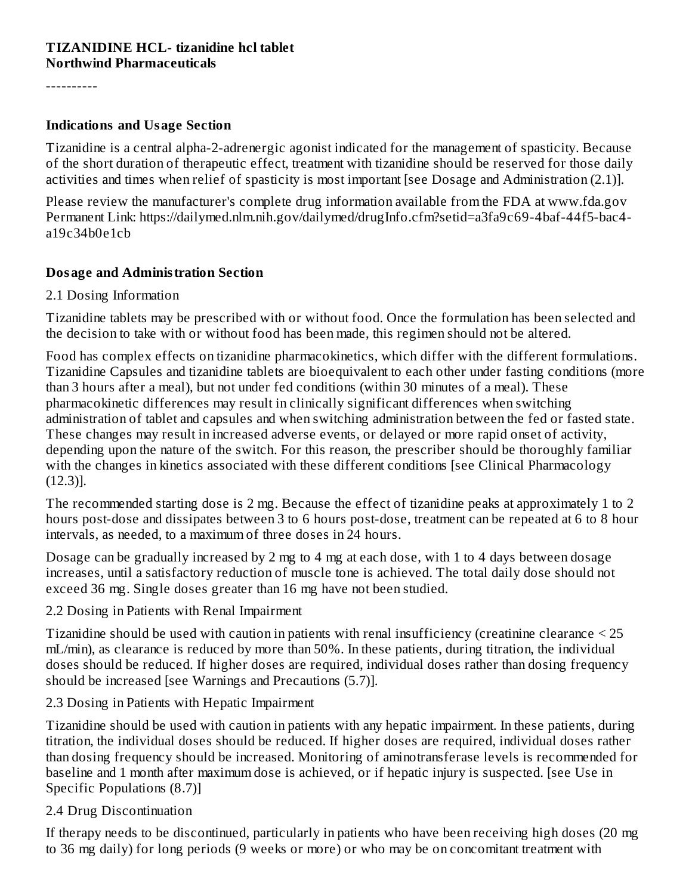#### **TIZANIDINE HCL- tizanidine hcl tablet Northwind Pharmaceuticals**

----------

#### **Indications and Usage Section**

Tizanidine is a central alpha-2-adrenergic agonist indicated for the management of spasticity. Because of the short duration of therapeutic effect, treatment with tizanidine should be reserved for those daily activities and times when relief of spasticity is most important [see Dosage and Administration (2.1)].

Please review the manufacturer's complete drug information available from the FDA at www.fda.gov Permanent Link: https://dailymed.nlm.nih.gov/dailymed/drugInfo.cfm?setid=a3fa9c69-4baf-44f5-bac4 a19c34b0e1cb

#### **Dosage and Administration Section**

#### 2.1 Dosing Information

Tizanidine tablets may be prescribed with or without food. Once the formulation has been selected and the decision to take with or without food has been made, this regimen should not be altered.

Food has complex effects on tizanidine pharmacokinetics, which differ with the different formulations. Tizanidine Capsules and tizanidine tablets are bioequivalent to each other under fasting conditions (more than 3 hours after a meal), but not under fed conditions (within 30 minutes of a meal). These pharmacokinetic differences may result in clinically significant differences when switching administration of tablet and capsules and when switching administration between the fed or fasted state. These changes may result in increased adverse events, or delayed or more rapid onset of activity, depending upon the nature of the switch. For this reason, the prescriber should be thoroughly familiar with the changes in kinetics associated with these different conditions [see Clinical Pharmacology (12.3)].

The recommended starting dose is 2 mg. Because the effect of tizanidine peaks at approximately 1 to 2 hours post-dose and dissipates between 3 to 6 hours post-dose, treatment can be repeated at 6 to 8 hour intervals, as needed, to a maximum of three doses in 24 hours.

Dosage can be gradually increased by 2 mg to 4 mg at each dose, with 1 to 4 days between dosage increases, until a satisfactory reduction of muscle tone is achieved. The total daily dose should not exceed 36 mg. Single doses greater than 16 mg have not been studied.

#### 2.2 Dosing in Patients with Renal Impairment

Tizanidine should be used with caution in patients with renal insufficiency (creatinine clearance < 25 mL/min), as clearance is reduced by more than 50%. In these patients, during titration, the individual doses should be reduced. If higher doses are required, individual doses rather than dosing frequency should be increased [see Warnings and Precautions (5.7)].

#### 2.3 Dosing in Patients with Hepatic Impairment

Tizanidine should be used with caution in patients with any hepatic impairment. In these patients, during titration, the individual doses should be reduced. If higher doses are required, individual doses rather than dosing frequency should be increased. Monitoring of aminotransferase levels is recommended for baseline and 1 month after maximum dose is achieved, or if hepatic injury is suspected. [see Use in Specific Populations (8.7)]

#### 2.4 Drug Discontinuation

If therapy needs to be discontinued, particularly in patients who have been receiving high doses (20 mg to 36 mg daily) for long periods (9 weeks or more) or who may be on concomitant treatment with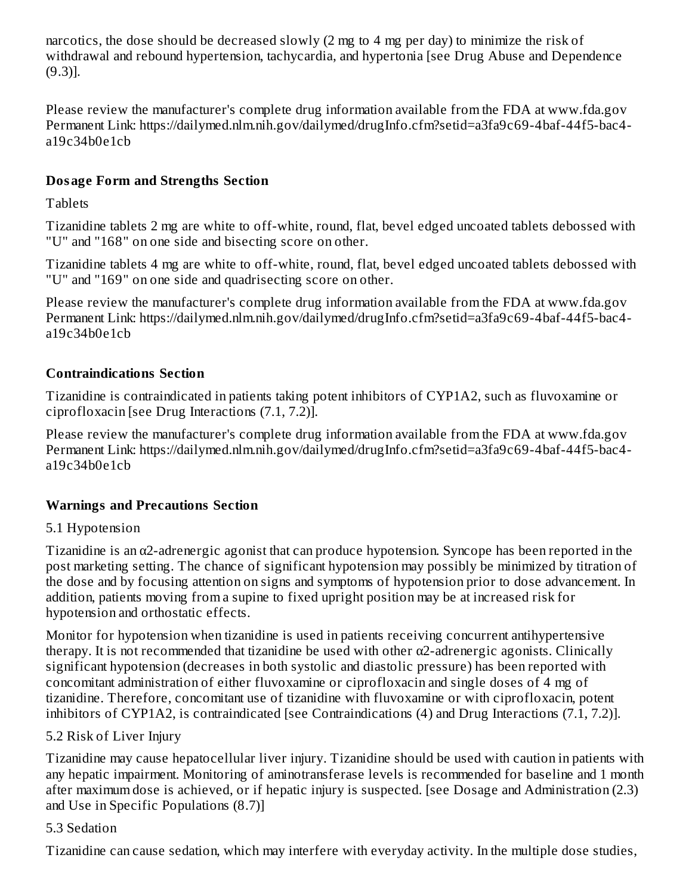narcotics, the dose should be decreased slowly (2 mg to 4 mg per day) to minimize the risk of withdrawal and rebound hypertension, tachycardia, and hypertonia [see Drug Abuse and Dependence (9.3)].

Please review the manufacturer's complete drug information available from the FDA at www.fda.gov Permanent Link: https://dailymed.nlm.nih.gov/dailymed/drugInfo.cfm?setid=a3fa9c69-4baf-44f5-bac4 a19c34b0e1cb

## **Dosage Form and Strengths Section**

**Tablets** 

Tizanidine tablets 2 mg are white to off-white, round, flat, bevel edged uncoated tablets debossed with "U" and "168" on one side and bisecting score on other.

Tizanidine tablets 4 mg are white to off-white, round, flat, bevel edged uncoated tablets debossed with "U" and "169" on one side and quadrisecting score on other.

Please review the manufacturer's complete drug information available from the FDA at www.fda.gov Permanent Link: https://dailymed.nlm.nih.gov/dailymed/drugInfo.cfm?setid=a3fa9c69-4baf-44f5-bac4 a19c34b0e1cb

## **Contraindications Section**

Tizanidine is contraindicated in patients taking potent inhibitors of CYP1A2, such as fluvoxamine or ciprofloxacin [see Drug Interactions (7.1, 7.2)].

Please review the manufacturer's complete drug information available from the FDA at www.fda.gov Permanent Link: https://dailymed.nlm.nih.gov/dailymed/drugInfo.cfm?setid=a3fa9c69-4baf-44f5-bac4 a19c34b0e1cb

## **Warnings and Precautions Section**

## 5.1 Hypotension

Tizanidine is an α2-adrenergic agonist that can produce hypotension. Syncope has been reported in the post marketing setting. The chance of significant hypotension may possibly be minimized by titration of the dose and by focusing attention on signs and symptoms of hypotension prior to dose advancement. In addition, patients moving from a supine to fixed upright position may be at increased risk for hypotension and orthostatic effects.

Monitor for hypotension when tizanidine is used in patients receiving concurrent antihypertensive therapy. It is not recommended that tizanidine be used with other  $\alpha$ 2-adrenergic agonists. Clinically significant hypotension (decreases in both systolic and diastolic pressure) has been reported with concomitant administration of either fluvoxamine or ciprofloxacin and single doses of 4 mg of tizanidine. Therefore, concomitant use of tizanidine with fluvoxamine or with ciprofloxacin, potent inhibitors of CYP1A2, is contraindicated [see Contraindications (4) and Drug Interactions (7.1, 7.2)].

### 5.2 Risk of Liver Injury

Tizanidine may cause hepatocellular liver injury. Tizanidine should be used with caution in patients with any hepatic impairment. Monitoring of aminotransferase levels is recommended for baseline and 1 month after maximum dose is achieved, or if hepatic injury is suspected. [see Dosage and Administration (2.3) and Use in Specific Populations (8.7)]

### 5.3 Sedation

Tizanidine can cause sedation, which may interfere with everyday activity. In the multiple dose studies,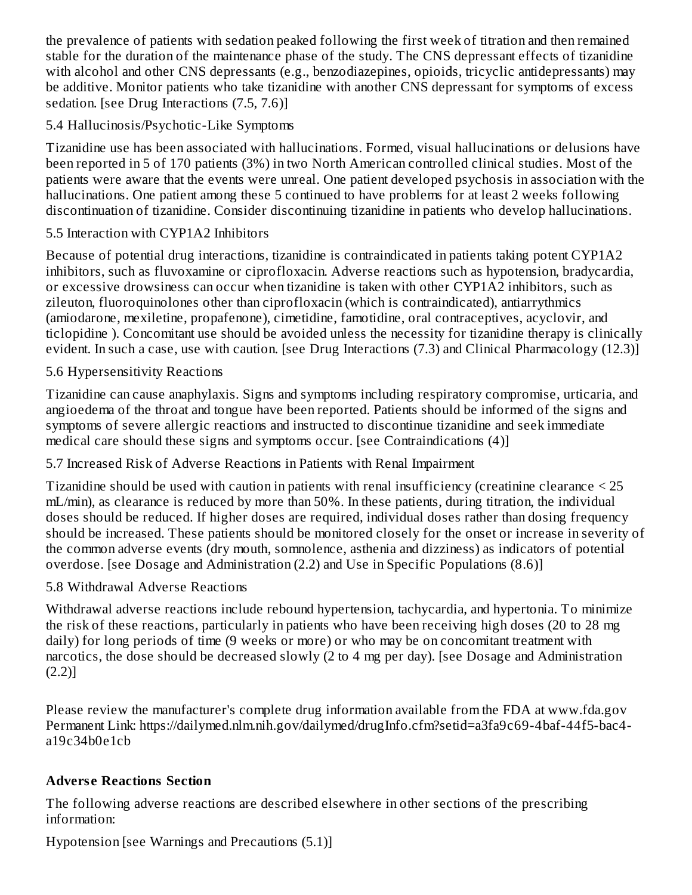the prevalence of patients with sedation peaked following the first week of titration and then remained stable for the duration of the maintenance phase of the study. The CNS depressant effects of tizanidine with alcohol and other CNS depressants (e.g., benzodiazepines, opioids, tricyclic antidepressants) may be additive. Monitor patients who take tizanidine with another CNS depressant for symptoms of excess sedation. [see Drug Interactions (7.5, 7.6)]

#### 5.4 Hallucinosis/Psychotic-Like Symptoms

Tizanidine use has been associated with hallucinations. Formed, visual hallucinations or delusions have been reported in 5 of 170 patients (3%) in two North American controlled clinical studies. Most of the patients were aware that the events were unreal. One patient developed psychosis in association with the hallucinations. One patient among these 5 continued to have problems for at least 2 weeks following discontinuation of tizanidine. Consider discontinuing tizanidine in patients who develop hallucinations.

#### 5.5 Interaction with CYP1A2 Inhibitors

Because of potential drug interactions, tizanidine is contraindicated in patients taking potent CYP1A2 inhibitors, such as fluvoxamine or ciprofloxacin. Adverse reactions such as hypotension, bradycardia, or excessive drowsiness can occur when tizanidine is taken with other CYP1A2 inhibitors, such as zileuton, fluoroquinolones other than ciprofloxacin (which is contraindicated), antiarrythmics (amiodarone, mexiletine, propafenone), cimetidine, famotidine, oral contraceptives, acyclovir, and ticlopidine ). Concomitant use should be avoided unless the necessity for tizanidine therapy is clinically evident. In such a case, use with caution. [see Drug Interactions (7.3) and Clinical Pharmacology (12.3)]

#### 5.6 Hypersensitivity Reactions

Tizanidine can cause anaphylaxis. Signs and symptoms including respiratory compromise, urticaria, and angioedema of the throat and tongue have been reported. Patients should be informed of the signs and symptoms of severe allergic reactions and instructed to discontinue tizanidine and seek immediate medical care should these signs and symptoms occur. [see Contraindications (4)]

### 5.7 Increased Risk of Adverse Reactions in Patients with Renal Impairment

Tizanidine should be used with caution in patients with renal insufficiency (creatinine clearance < 25 mL/min), as clearance is reduced by more than 50%. In these patients, during titration, the individual doses should be reduced. If higher doses are required, individual doses rather than dosing frequency should be increased. These patients should be monitored closely for the onset or increase in severity of the common adverse events (dry mouth, somnolence, asthenia and dizziness) as indicators of potential overdose. [see Dosage and Administration (2.2) and Use in Specific Populations (8.6)]

#### 5.8 Withdrawal Adverse Reactions

Withdrawal adverse reactions include rebound hypertension, tachycardia, and hypertonia. To minimize the risk of these reactions, particularly in patients who have been receiving high doses (20 to 28 mg daily) for long periods of time (9 weeks or more) or who may be on concomitant treatment with narcotics, the dose should be decreased slowly (2 to 4 mg per day). [see Dosage and Administration (2.2)]

Please review the manufacturer's complete drug information available from the FDA at www.fda.gov Permanent Link: https://dailymed.nlm.nih.gov/dailymed/drugInfo.cfm?setid=a3fa9c69-4baf-44f5-bac4 a19c34b0e1cb

#### **Advers e Reactions Section**

The following adverse reactions are described elsewhere in other sections of the prescribing information:

Hypotension [see Warnings and Precautions (5.1)]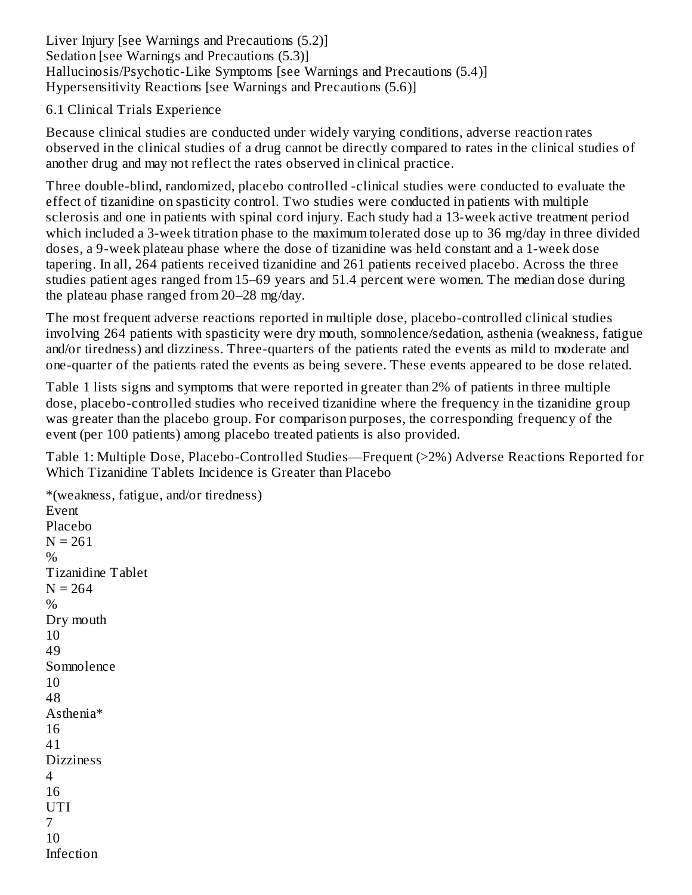Liver Injury [see Warnings and Precautions (5.2)] Sedation [see Warnings and Precautions (5.3)] Hallucinosis/Psychotic-Like Symptoms [see Warnings and Precautions (5.4)] Hypersensitivity Reactions [see Warnings and Precautions (5.6)]

#### 6.1 Clinical Trials Experience

Because clinical studies are conducted under widely varying conditions, adverse reaction rates observed in the clinical studies of a drug cannot be directly compared to rates in the clinical studies of another drug and may not reflect the rates observed in clinical practice.

Three double-blind, randomized, placebo controlled -clinical studies were conducted to evaluate the effect of tizanidine on spasticity control. Two studies were conducted in patients with multiple sclerosis and one in patients with spinal cord injury. Each study had a 13-week active treatment period which included a 3-week titration phase to the maximum tolerated dose up to 36 mg/day in three divided doses, a 9-week plateau phase where the dose of tizanidine was held constant and a 1-week dose tapering. In all, 264 patients received tizanidine and 261 patients received placebo. Across the three studies patient ages ranged from 15–69 years and 51.4 percent were women. The median dose during the plateau phase ranged from 20–28 mg/day.

The most frequent adverse reactions reported in multiple dose, placebo-controlled clinical studies involving 264 patients with spasticity were dry mouth, somnolence/sedation, asthenia (weakness, fatigue and/or tiredness) and dizziness. Three-quarters of the patients rated the events as mild to moderate and one-quarter of the patients rated the events as being severe. These events appeared to be dose related.

Table 1 lists signs and symptoms that were reported in greater than 2% of patients in three multiple dose, placebo-controlled studies who received tizanidine where the frequency in the tizanidine group was greater than the placebo group. For comparison purposes, the corresponding frequency of the event (per 100 patients) among placebo treated patients is also provided.

Table 1: Multiple Dose, Placebo-Controlled Studies—Frequent (>2%) Adverse Reactions Reported for Which Tizanidine Tablets Incidence is Greater than Placebo

\*(weakness, fatigue, and/or tiredness) Event Placebo  $N = 261$ % Tizanidine Tablet  $N = 264$ % Dry mouth 10 49 Somnolence 10 48 Asthenia\* 16 41 **Dizziness** 4 16 UTI 7 10 Infection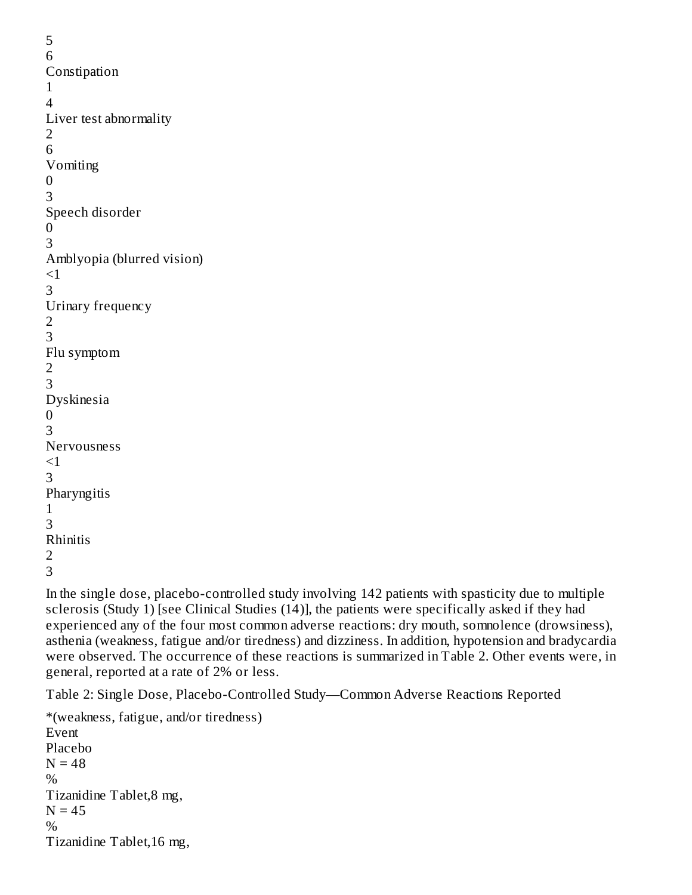```
5
6
Constipation
1
4
Liver test abnormality
2
6
Vomiting
0
3
Speech disorder
0
3
Amblyopia (blurred vision)
<13
Urinary frequency
2
3
Flu symptom
2
3
Dyskinesia
0
3
Nervousness
<13
Pharyngitis
1
3
Rhinitis
2
3
```
In the single dose, placebo-controlled study involving 142 patients with spasticity due to multiple sclerosis (Study 1) [see Clinical Studies (14)], the patients were specifically asked if they had experienced any of the four most common adverse reactions: dry mouth, somnolence (drowsiness), asthenia (weakness, fatigue and/or tiredness) and dizziness. In addition, hypotension and bradycardia were observed. The occurrence of these reactions is summarized in Table 2. Other events were, in general, reported at a rate of 2% or less.

Table 2: Single Dose, Placebo-Controlled Study—Common Adverse Reactions Reported

\*(weakness, fatigue, and/or tiredness) Event Placebo  $N = 48$  $\%$ Tizanidine Tablet,8 mg,  $N = 45$ % Tizanidine Tablet,16 mg,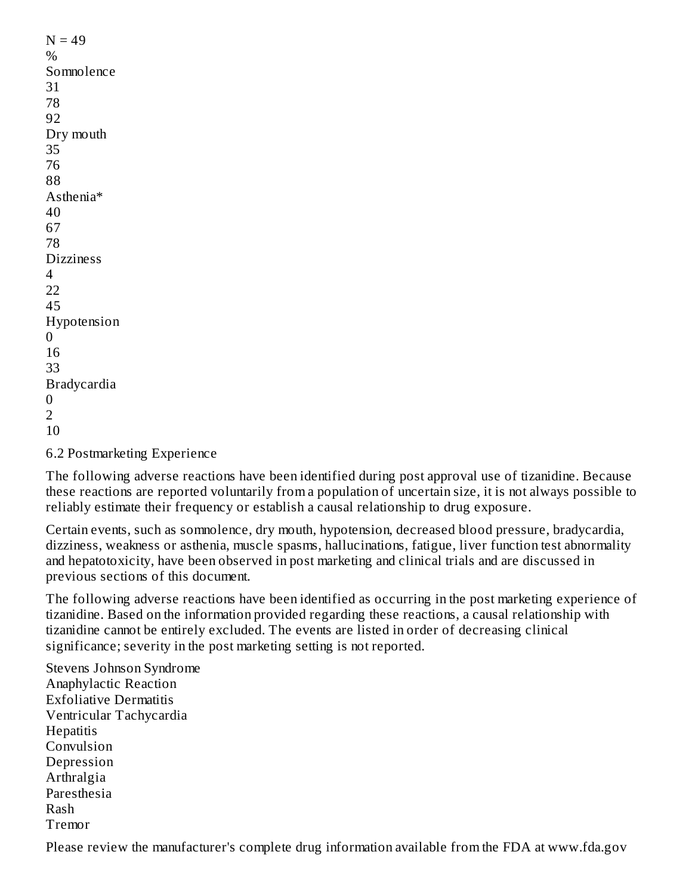6.2 Postmarketing Experience

The following adverse reactions have been identified during post approval use of tizanidine. Because these reactions are reported voluntarily from a population of uncertain size, it is not always possible to reliably estimate their frequency or establish a causal relationship to drug exposure.

Certain events, such as somnolence, dry mouth, hypotension, decreased blood pressure, bradycardia, dizziness, weakness or asthenia, muscle spasms, hallucinations, fatigue, liver function test abnormality and hepatotoxicity, have been observed in post marketing and clinical trials and are discussed in previous sections of this document.

The following adverse reactions have been identified as occurring in the post marketing experience of tizanidine. Based on the information provided regarding these reactions, a causal relationship with tizanidine cannot be entirely excluded. The events are listed in order of decreasing clinical significance; severity in the post marketing setting is not reported.

Stevens Johnson Syndrome Anaphylactic Reaction Exfoliative Dermatitis Ventricular Tachycardia **Hepatitis** Convulsion Depression Arthralgia Paresthesia Rash Tremor

Please review the manufacturer's complete drug information available from the FDA at www.fda.gov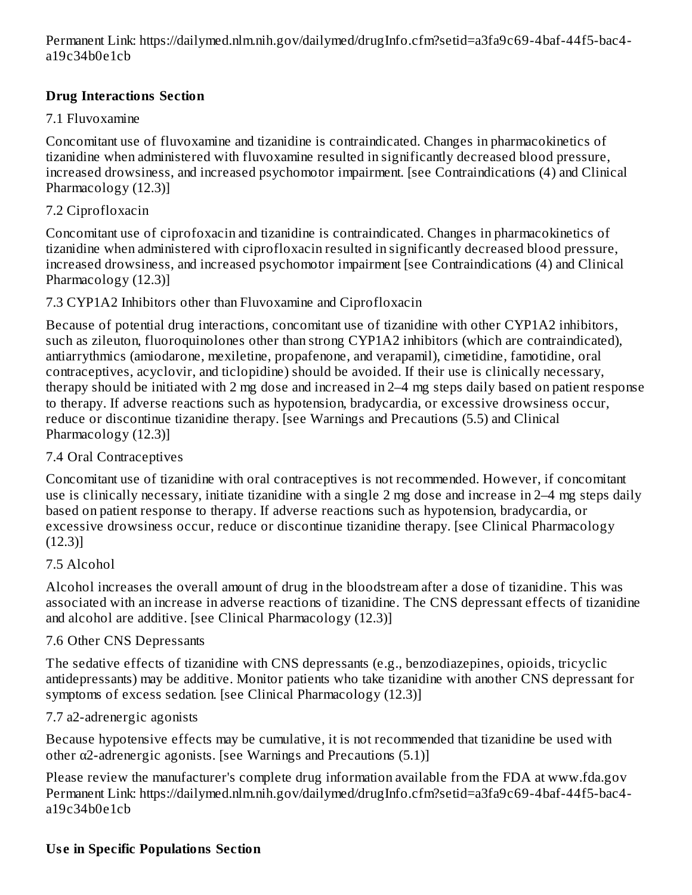Permanent Link: https://dailymed.nlm.nih.gov/dailymed/drugInfo.cfm?setid=a3fa9c69-4baf-44f5-bac4 a19c34b0e1cb

## **Drug Interactions Section**

#### 7.1 Fluvoxamine

Concomitant use of fluvoxamine and tizanidine is contraindicated. Changes in pharmacokinetics of tizanidine when administered with fluvoxamine resulted in significantly decreased blood pressure, increased drowsiness, and increased psychomotor impairment. [see Contraindications (4) and Clinical Pharmacology (12.3)]

### 7.2 Ciprofloxacin

Concomitant use of ciprofoxacin and tizanidine is contraindicated. Changes in pharmacokinetics of tizanidine when administered with ciprofloxacin resulted in significantly decreased blood pressure, increased drowsiness, and increased psychomotor impairment [see Contraindications (4) and Clinical Pharmacology (12.3)]

### 7.3 CYP1A2 Inhibitors other than Fluvoxamine and Ciprofloxacin

Because of potential drug interactions, concomitant use of tizanidine with other CYP1A2 inhibitors, such as zileuton, fluoroquinolones other than strong CYP1A2 inhibitors (which are contraindicated), antiarrythmics (amiodarone, mexiletine, propafenone, and verapamil), cimetidine, famotidine, oral contraceptives, acyclovir, and ticlopidine) should be avoided. If their use is clinically necessary, therapy should be initiated with 2 mg dose and increased in 2–4 mg steps daily based on patient response to therapy. If adverse reactions such as hypotension, bradycardia, or excessive drowsiness occur, reduce or discontinue tizanidine therapy. [see Warnings and Precautions (5.5) and Clinical Pharmacology (12.3)]

#### 7.4 Oral Contraceptives

Concomitant use of tizanidine with oral contraceptives is not recommended. However, if concomitant use is clinically necessary, initiate tizanidine with a single 2 mg dose and increase in 2–4 mg steps daily based on patient response to therapy. If adverse reactions such as hypotension, bradycardia, or excessive drowsiness occur, reduce or discontinue tizanidine therapy. [see Clinical Pharmacology (12.3)]

#### 7.5 Alcohol

Alcohol increases the overall amount of drug in the bloodstream after a dose of tizanidine. This was associated with an increase in adverse reactions of tizanidine. The CNS depressant effects of tizanidine and alcohol are additive. [see Clinical Pharmacology (12.3)]

#### 7.6 Other CNS Depressants

The sedative effects of tizanidine with CNS depressants (e.g., benzodiazepines, opioids, tricyclic antidepressants) may be additive. Monitor patients who take tizanidine with another CNS depressant for symptoms of excess sedation. [see Clinical Pharmacology (12.3)]

#### 7.7 a2-adrenergic agonists

Because hypotensive effects may be cumulative, it is not recommended that tizanidine be used with other  $\alpha$ 2-adrenergic agonists. [see Warnings and Precautions (5.1)]

Please review the manufacturer's complete drug information available from the FDA at www.fda.gov Permanent Link: https://dailymed.nlm.nih.gov/dailymed/drugInfo.cfm?setid=a3fa9c69-4baf-44f5-bac4 a19c34b0e1cb

### **Us e in Specific Populations Section**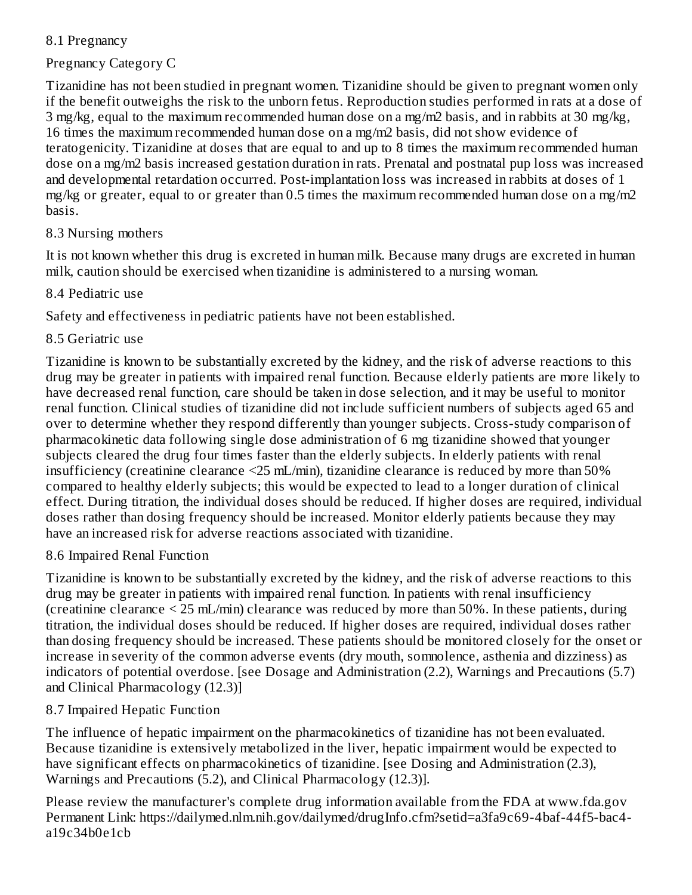### 8.1 Pregnancy

### Pregnancy Category C

Tizanidine has not been studied in pregnant women. Tizanidine should be given to pregnant women only if the benefit outweighs the risk to the unborn fetus. Reproduction studies performed in rats at a dose of 3 mg/kg, equal to the maximum recommended human dose on a mg/m2 basis, and in rabbits at 30 mg/kg, 16 times the maximum recommended human dose on a mg/m2 basis, did not show evidence of teratogenicity. Tizanidine at doses that are equal to and up to 8 times the maximum recommended human dose on a mg/m2 basis increased gestation duration in rats. Prenatal and postnatal pup loss was increased and developmental retardation occurred. Post-implantation loss was increased in rabbits at doses of 1 mg/kg or greater, equal to or greater than 0.5 times the maximum recommended human dose on a mg/m2 basis.

#### 8.3 Nursing mothers

It is not known whether this drug is excreted in human milk. Because many drugs are excreted in human milk, caution should be exercised when tizanidine is administered to a nursing woman.

#### 8.4 Pediatric use

Safety and effectiveness in pediatric patients have not been established.

#### 8.5 Geriatric use

Tizanidine is known to be substantially excreted by the kidney, and the risk of adverse reactions to this drug may be greater in patients with impaired renal function. Because elderly patients are more likely to have decreased renal function, care should be taken in dose selection, and it may be useful to monitor renal function. Clinical studies of tizanidine did not include sufficient numbers of subjects aged 65 and over to determine whether they respond differently than younger subjects. Cross-study comparison of pharmacokinetic data following single dose administration of 6 mg tizanidine showed that younger subjects cleared the drug four times faster than the elderly subjects. In elderly patients with renal insufficiency (creatinine clearance <25 mL/min), tizanidine clearance is reduced by more than 50% compared to healthy elderly subjects; this would be expected to lead to a longer duration of clinical effect. During titration, the individual doses should be reduced. If higher doses are required, individual doses rather than dosing frequency should be increased. Monitor elderly patients because they may have an increased risk for adverse reactions associated with tizanidine.

#### 8.6 Impaired Renal Function

Tizanidine is known to be substantially excreted by the kidney, and the risk of adverse reactions to this drug may be greater in patients with impaired renal function. In patients with renal insufficiency (creatinine clearance < 25 mL/min) clearance was reduced by more than 50%. In these patients, during titration, the individual doses should be reduced. If higher doses are required, individual doses rather than dosing frequency should be increased. These patients should be monitored closely for the onset or increase in severity of the common adverse events (dry mouth, somnolence, asthenia and dizziness) as indicators of potential overdose. [see Dosage and Administration (2.2), Warnings and Precautions (5.7) and Clinical Pharmacology (12.3)]

#### 8.7 Impaired Hepatic Function

The influence of hepatic impairment on the pharmacokinetics of tizanidine has not been evaluated. Because tizanidine is extensively metabolized in the liver, hepatic impairment would be expected to have significant effects on pharmacokinetics of tizanidine. [see Dosing and Administration (2.3), Warnings and Precautions (5.2), and Clinical Pharmacology (12.3)].

Please review the manufacturer's complete drug information available from the FDA at www.fda.gov Permanent Link: https://dailymed.nlm.nih.gov/dailymed/drugInfo.cfm?setid=a3fa9c69-4baf-44f5-bac4 a19c34b0e1cb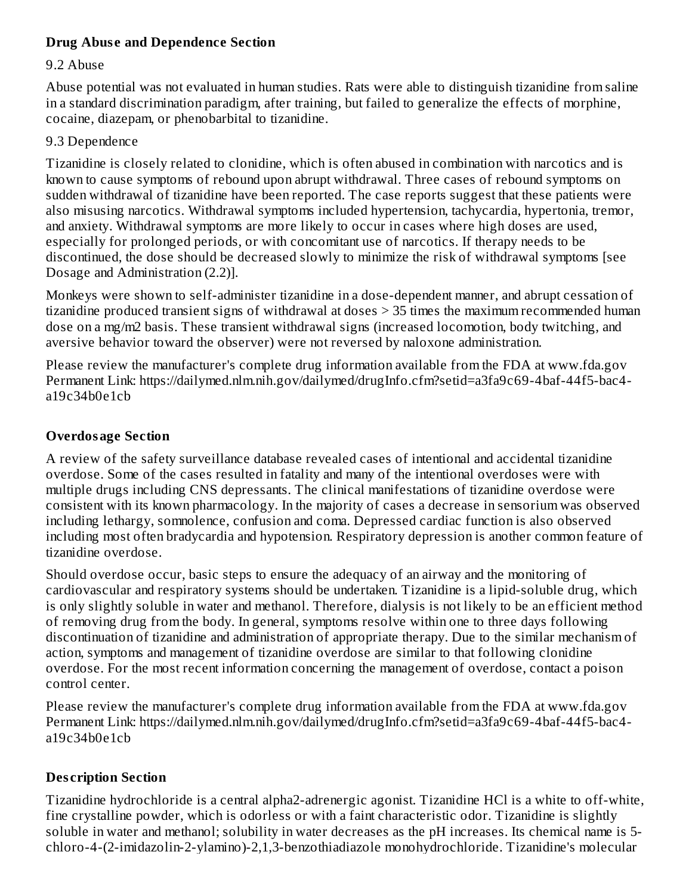#### **Drug Abus e and Dependence Section**

#### 9.2 Abuse

Abuse potential was not evaluated in human studies. Rats were able to distinguish tizanidine from saline in a standard discrimination paradigm, after training, but failed to generalize the effects of morphine, cocaine, diazepam, or phenobarbital to tizanidine.

#### 9.3 Dependence

Tizanidine is closely related to clonidine, which is often abused in combination with narcotics and is known to cause symptoms of rebound upon abrupt withdrawal. Three cases of rebound symptoms on sudden withdrawal of tizanidine have been reported. The case reports suggest that these patients were also misusing narcotics. Withdrawal symptoms included hypertension, tachycardia, hypertonia, tremor, and anxiety. Withdrawal symptoms are more likely to occur in cases where high doses are used, especially for prolonged periods, or with concomitant use of narcotics. If therapy needs to be discontinued, the dose should be decreased slowly to minimize the risk of withdrawal symptoms [see Dosage and Administration (2.2)].

Monkeys were shown to self-administer tizanidine in a dose-dependent manner, and abrupt cessation of tizanidine produced transient signs of withdrawal at doses > 35 times the maximum recommended human dose on a mg/m2 basis. These transient withdrawal signs (increased locomotion, body twitching, and aversive behavior toward the observer) were not reversed by naloxone administration.

Please review the manufacturer's complete drug information available from the FDA at www.fda.gov Permanent Link: https://dailymed.nlm.nih.gov/dailymed/drugInfo.cfm?setid=a3fa9c69-4baf-44f5-bac4 a19c34b0e1cb

#### **Overdosage Section**

A review of the safety surveillance database revealed cases of intentional and accidental tizanidine overdose. Some of the cases resulted in fatality and many of the intentional overdoses were with multiple drugs including CNS depressants. The clinical manifestations of tizanidine overdose were consistent with its known pharmacology. In the majority of cases a decrease in sensorium was observed including lethargy, somnolence, confusion and coma. Depressed cardiac function is also observed including most often bradycardia and hypotension. Respiratory depression is another common feature of tizanidine overdose.

Should overdose occur, basic steps to ensure the adequacy of an airway and the monitoring of cardiovascular and respiratory systems should be undertaken. Tizanidine is a lipid-soluble drug, which is only slightly soluble in water and methanol. Therefore, dialysis is not likely to be an efficient method of removing drug from the body. In general, symptoms resolve within one to three days following discontinuation of tizanidine and administration of appropriate therapy. Due to the similar mechanism of action, symptoms and management of tizanidine overdose are similar to that following clonidine overdose. For the most recent information concerning the management of overdose, contact a poison control center.

Please review the manufacturer's complete drug information available from the FDA at www.fda.gov Permanent Link: https://dailymed.nlm.nih.gov/dailymed/drugInfo.cfm?setid=a3fa9c69-4baf-44f5-bac4 a19c34b0e1cb

#### **Des cription Section**

Tizanidine hydrochloride is a central alpha2-adrenergic agonist. Tizanidine HCl is a white to off-white, fine crystalline powder, which is odorless or with a faint characteristic odor. Tizanidine is slightly soluble in water and methanol; solubility in water decreases as the pH increases. Its chemical name is 5 chloro-4-(2-imidazolin-2-ylamino)-2,1,3-benzothiadiazole monohydrochloride. Tizanidine's molecular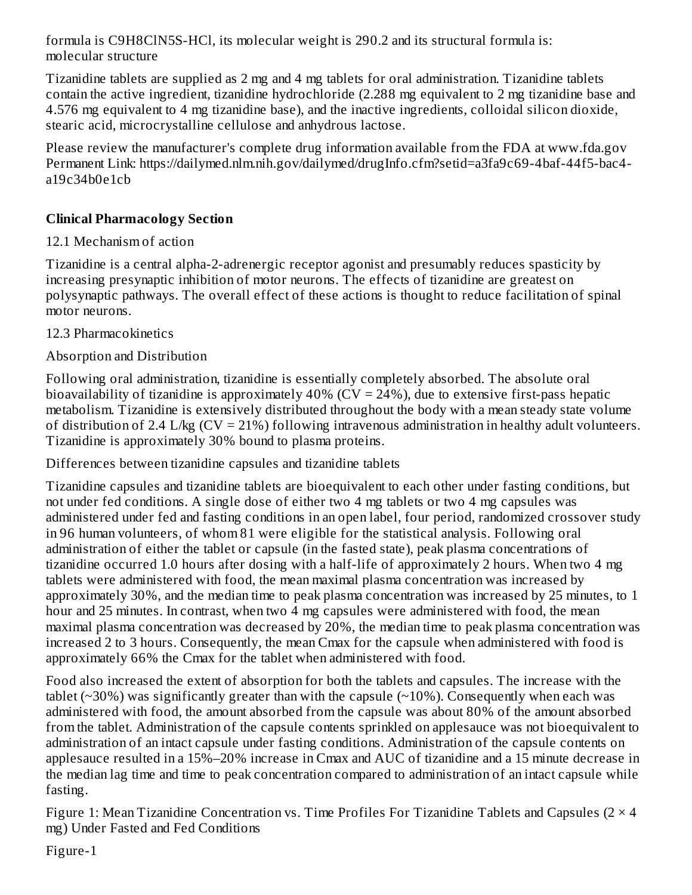formula is C9H8ClN5S-HCl, its molecular weight is 290.2 and its structural formula is: molecular structure

Tizanidine tablets are supplied as 2 mg and 4 mg tablets for oral administration. Tizanidine tablets contain the active ingredient, tizanidine hydrochloride (2.288 mg equivalent to 2 mg tizanidine base and 4.576 mg equivalent to 4 mg tizanidine base), and the inactive ingredients, colloidal silicon dioxide, stearic acid, microcrystalline cellulose and anhydrous lactose.

Please review the manufacturer's complete drug information available from the FDA at www.fda.gov Permanent Link: https://dailymed.nlm.nih.gov/dailymed/drugInfo.cfm?setid=a3fa9c69-4baf-44f5-bac4 a19c34b0e1cb

#### **Clinical Pharmacology Section**

#### 12.1 Mechanism of action

Tizanidine is a central alpha-2-adrenergic receptor agonist and presumably reduces spasticity by increasing presynaptic inhibition of motor neurons. The effects of tizanidine are greatest on polysynaptic pathways. The overall effect of these actions is thought to reduce facilitation of spinal motor neurons.

12.3 Pharmacokinetics

### Absorption and Distribution

Following oral administration, tizanidine is essentially completely absorbed. The absolute oral bioavailability of tizanidine is approximately  $40\%$  (CV = 24%), due to extensive first-pass hepatic metabolism. Tizanidine is extensively distributed throughout the body with a mean steady state volume of distribution of 2.4 L/kg  $(CV = 21%)$  following intravenous administration in healthy adult volunteers. Tizanidine is approximately 30% bound to plasma proteins.

Differences between tizanidine capsules and tizanidine tablets

Tizanidine capsules and tizanidine tablets are bioequivalent to each other under fasting conditions, but not under fed conditions. A single dose of either two 4 mg tablets or two 4 mg capsules was administered under fed and fasting conditions in an open label, four period, randomized crossover study in 96 human volunteers, of whom 81 were eligible for the statistical analysis. Following oral administration of either the tablet or capsule (in the fasted state), peak plasma concentrations of tizanidine occurred 1.0 hours after dosing with a half-life of approximately 2 hours. When two 4 mg tablets were administered with food, the mean maximal plasma concentration was increased by approximately 30%, and the median time to peak plasma concentration was increased by 25 minutes, to 1 hour and 25 minutes. In contrast, when two 4 mg capsules were administered with food, the mean maximal plasma concentration was decreased by 20%, the median time to peak plasma concentration was increased 2 to 3 hours. Consequently, the mean Cmax for the capsule when administered with food is approximately 66% the Cmax for the tablet when administered with food.

Food also increased the extent of absorption for both the tablets and capsules. The increase with the tablet ( $\sim$ 30%) was significantly greater than with the capsule ( $\sim$ 10%). Consequently when each was administered with food, the amount absorbed from the capsule was about 80% of the amount absorbed from the tablet. Administration of the capsule contents sprinkled on applesauce was not bioequivalent to administration of an intact capsule under fasting conditions. Administration of the capsule contents on applesauce resulted in a 15%–20% increase in Cmax and AUC of tizanidine and a 15 minute decrease in the median lag time and time to peak concentration compared to administration of an intact capsule while fasting.

Figure 1: Mean Tizanidine Concentration vs. Time Profiles For Tizanidine Tablets and Capsules ( $2 \times 4$ ) mg) Under Fasted and Fed Conditions

Figure-1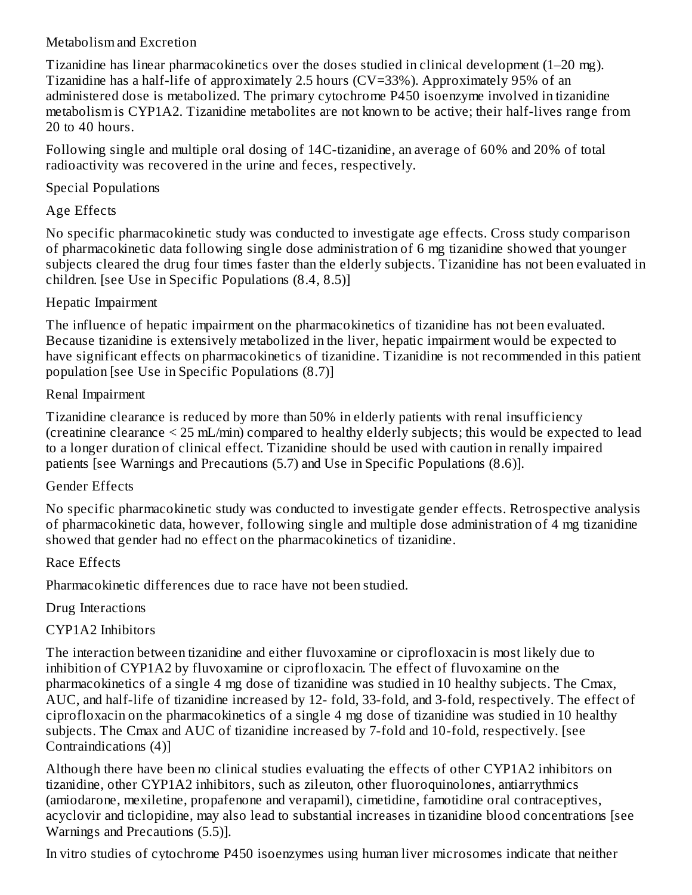#### Metabolism and Excretion

Tizanidine has linear pharmacokinetics over the doses studied in clinical development (1–20 mg). Tizanidine has a half-life of approximately 2.5 hours (CV=33%). Approximately 95% of an administered dose is metabolized. The primary cytochrome P450 isoenzyme involved in tizanidine metabolism is CYP1A2. Tizanidine metabolites are not known to be active; their half-lives range from 20 to 40 hours.

Following single and multiple oral dosing of 14C-tizanidine, an average of 60% and 20% of total radioactivity was recovered in the urine and feces, respectively.

#### Special Populations

### Age Effects

No specific pharmacokinetic study was conducted to investigate age effects. Cross study comparison of pharmacokinetic data following single dose administration of 6 mg tizanidine showed that younger subjects cleared the drug four times faster than the elderly subjects. Tizanidine has not been evaluated in children. [see Use in Specific Populations (8.4, 8.5)]

#### Hepatic Impairment

The influence of hepatic impairment on the pharmacokinetics of tizanidine has not been evaluated. Because tizanidine is extensively metabolized in the liver, hepatic impairment would be expected to have significant effects on pharmacokinetics of tizanidine. Tizanidine is not recommended in this patient population [see Use in Specific Populations (8.7)]

#### Renal Impairment

Tizanidine clearance is reduced by more than 50% in elderly patients with renal insufficiency (creatinine clearance < 25 mL/min) compared to healthy elderly subjects; this would be expected to lead to a longer duration of clinical effect. Tizanidine should be used with caution in renally impaired patients [see Warnings and Precautions (5.7) and Use in Specific Populations (8.6)].

#### Gender Effects

No specific pharmacokinetic study was conducted to investigate gender effects. Retrospective analysis of pharmacokinetic data, however, following single and multiple dose administration of 4 mg tizanidine showed that gender had no effect on the pharmacokinetics of tizanidine.

#### Race Effects

Pharmacokinetic differences due to race have not been studied.

### Drug Interactions

### CYP1A2 Inhibitors

The interaction between tizanidine and either fluvoxamine or ciprofloxacin is most likely due to inhibition of CYP1A2 by fluvoxamine or ciprofloxacin. The effect of fluvoxamine on the pharmacokinetics of a single 4 mg dose of tizanidine was studied in 10 healthy subjects. The Cmax, AUC, and half-life of tizanidine increased by 12- fold, 33-fold, and 3-fold, respectively. The effect of ciprofloxacin on the pharmacokinetics of a single 4 mg dose of tizanidine was studied in 10 healthy subjects. The Cmax and AUC of tizanidine increased by 7-fold and 10-fold, respectively. [see Contraindications (4)]

Although there have been no clinical studies evaluating the effects of other CYP1A2 inhibitors on tizanidine, other CYP1A2 inhibitors, such as zileuton, other fluoroquinolones, antiarrythmics (amiodarone, mexiletine, propafenone and verapamil), cimetidine, famotidine oral contraceptives, acyclovir and ticlopidine, may also lead to substantial increases in tizanidine blood concentrations [see Warnings and Precautions (5.5)].

In vitro studies of cytochrome P450 isoenzymes using human liver microsomes indicate that neither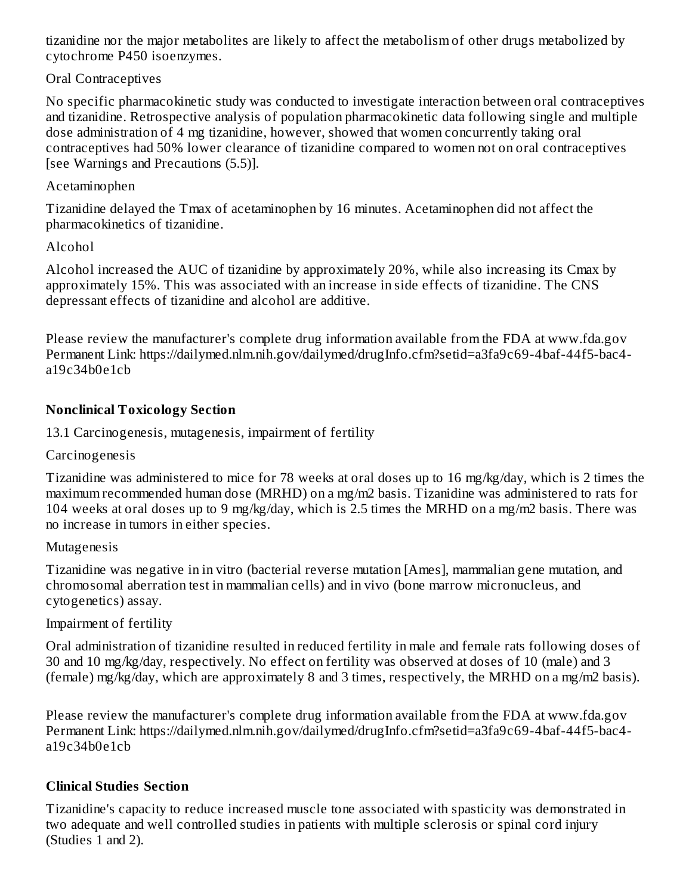tizanidine nor the major metabolites are likely to affect the metabolism of other drugs metabolized by cytochrome P450 isoenzymes.

Oral Contraceptives

No specific pharmacokinetic study was conducted to investigate interaction between oral contraceptives and tizanidine. Retrospective analysis of population pharmacokinetic data following single and multiple dose administration of 4 mg tizanidine, however, showed that women concurrently taking oral contraceptives had 50% lower clearance of tizanidine compared to women not on oral contraceptives [see Warnings and Precautions (5.5)].

### Acetaminophen

Tizanidine delayed the Tmax of acetaminophen by 16 minutes. Acetaminophen did not affect the pharmacokinetics of tizanidine.

## Alcohol

Alcohol increased the AUC of tizanidine by approximately 20%, while also increasing its Cmax by approximately 15%. This was associated with an increase in side effects of tizanidine. The CNS depressant effects of tizanidine and alcohol are additive.

Please review the manufacturer's complete drug information available from the FDA at www.fda.gov Permanent Link: https://dailymed.nlm.nih.gov/dailymed/drugInfo.cfm?setid=a3fa9c69-4baf-44f5-bac4 a19c34b0e1cb

## **Nonclinical Toxicology Section**

13.1 Carcinogenesis, mutagenesis, impairment of fertility

Carcinogenesis

Tizanidine was administered to mice for 78 weeks at oral doses up to 16 mg/kg/day, which is 2 times the maximum recommended human dose (MRHD) on a mg/m2 basis. Tizanidine was administered to rats for 104 weeks at oral doses up to 9 mg/kg/day, which is 2.5 times the MRHD on a mg/m2 basis. There was no increase in tumors in either species.

### Mutagenesis

Tizanidine was negative in in vitro (bacterial reverse mutation [Ames], mammalian gene mutation, and chromosomal aberration test in mammalian cells) and in vivo (bone marrow micronucleus, and cytogenetics) assay.

### Impairment of fertility

Oral administration of tizanidine resulted in reduced fertility in male and female rats following doses of 30 and 10 mg/kg/day, respectively. No effect on fertility was observed at doses of 10 (male) and 3 (female) mg/kg/day, which are approximately 8 and 3 times, respectively, the MRHD on a mg/m2 basis).

Please review the manufacturer's complete drug information available from the FDA at www.fda.gov Permanent Link: https://dailymed.nlm.nih.gov/dailymed/drugInfo.cfm?setid=a3fa9c69-4baf-44f5-bac4 a19c34b0e1cb

## **Clinical Studies Section**

Tizanidine's capacity to reduce increased muscle tone associated with spasticity was demonstrated in two adequate and well controlled studies in patients with multiple sclerosis or spinal cord injury (Studies 1 and 2).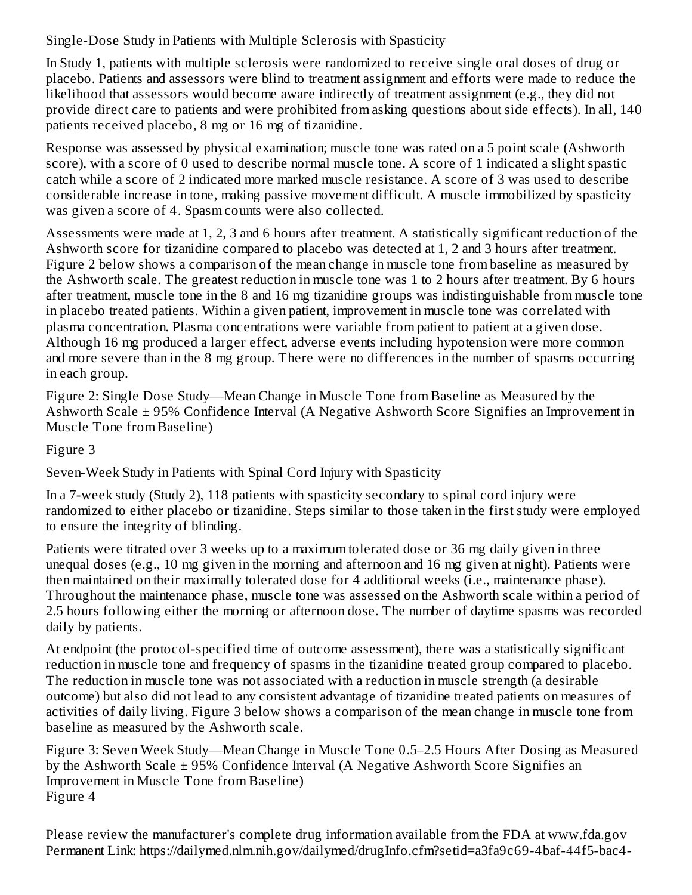Single-Dose Study in Patients with Multiple Sclerosis with Spasticity

In Study 1, patients with multiple sclerosis were randomized to receive single oral doses of drug or placebo. Patients and assessors were blind to treatment assignment and efforts were made to reduce the likelihood that assessors would become aware indirectly of treatment assignment (e.g., they did not provide direct care to patients and were prohibited from asking questions about side effects). In all, 140 patients received placebo, 8 mg or 16 mg of tizanidine.

Response was assessed by physical examination; muscle tone was rated on a 5 point scale (Ashworth score), with a score of 0 used to describe normal muscle tone. A score of 1 indicated a slight spastic catch while a score of 2 indicated more marked muscle resistance. A score of 3 was used to describe considerable increase in tone, making passive movement difficult. A muscle immobilized by spasticity was given a score of 4. Spasm counts were also collected.

Assessments were made at 1, 2, 3 and 6 hours after treatment. A statistically significant reduction of the Ashworth score for tizanidine compared to placebo was detected at 1, 2 and 3 hours after treatment. Figure 2 below shows a comparison of the mean change in muscle tone from baseline as measured by the Ashworth scale. The greatest reduction in muscle tone was 1 to 2 hours after treatment. By 6 hours after treatment, muscle tone in the 8 and 16 mg tizanidine groups was indistinguishable from muscle tone in placebo treated patients. Within a given patient, improvement in muscle tone was correlated with plasma concentration. Plasma concentrations were variable from patient to patient at a given dose. Although 16 mg produced a larger effect, adverse events including hypotension were more common and more severe than in the 8 mg group. There were no differences in the number of spasms occurring in each group.

Figure 2: Single Dose Study—Mean Change in Muscle Tone from Baseline as Measured by the Ashworth Scale ± 95% Confidence Interval (A Negative Ashworth Score Signifies an Improvement in Muscle Tone from Baseline)

Figure 3

Seven-Week Study in Patients with Spinal Cord Injury with Spasticity

In a 7-week study (Study 2), 118 patients with spasticity secondary to spinal cord injury were randomized to either placebo or tizanidine. Steps similar to those taken in the first study were employed to ensure the integrity of blinding.

Patients were titrated over 3 weeks up to a maximum tolerated dose or 36 mg daily given in three unequal doses (e.g., 10 mg given in the morning and afternoon and 16 mg given at night). Patients were then maintained on their maximally tolerated dose for 4 additional weeks (i.e., maintenance phase). Throughout the maintenance phase, muscle tone was assessed on the Ashworth scale within a period of 2.5 hours following either the morning or afternoon dose. The number of daytime spasms was recorded daily by patients.

At endpoint (the protocol-specified time of outcome assessment), there was a statistically significant reduction in muscle tone and frequency of spasms in the tizanidine treated group compared to placebo. The reduction in muscle tone was not associated with a reduction in muscle strength (a desirable outcome) but also did not lead to any consistent advantage of tizanidine treated patients on measures of activities of daily living. Figure 3 below shows a comparison of the mean change in muscle tone from baseline as measured by the Ashworth scale.

Figure 3: Seven Week Study—Mean Change in Muscle Tone 0.5–2.5 Hours After Dosing as Measured by the Ashworth Scale  $\pm$  95% Confidence Interval (A Negative Ashworth Score Signifies an Improvement in Muscle Tone from Baseline) Figure 4

Please review the manufacturer's complete drug information available from the FDA at www.fda.gov Permanent Link: https://dailymed.nlm.nih.gov/dailymed/drugInfo.cfm?setid=a3fa9c69-4baf-44f5-bac4-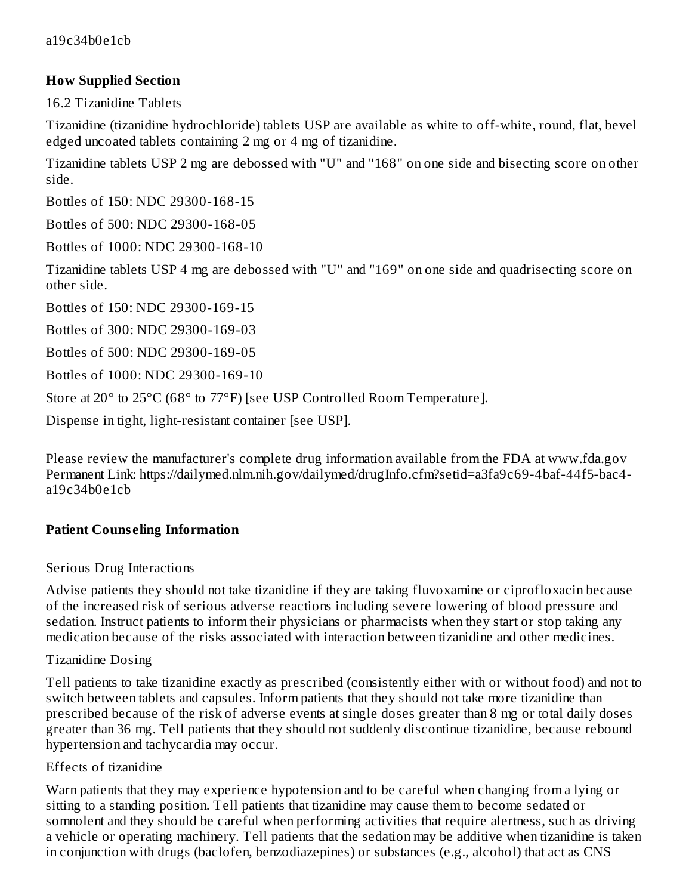#### **How Supplied Section**

16.2 Tizanidine Tablets

Tizanidine (tizanidine hydrochloride) tablets USP are available as white to off-white, round, flat, bevel edged uncoated tablets containing 2 mg or 4 mg of tizanidine.

Tizanidine tablets USP 2 mg are debossed with "U" and "168" on one side and bisecting score on other side.

Bottles of 150: NDC 29300-168-15

Bottles of 500: NDC 29300-168-05

Bottles of 1000: NDC 29300-168-10

Tizanidine tablets USP 4 mg are debossed with "U" and "169" on one side and quadrisecting score on other side.

Bottles of 150: NDC 29300-169-15

Bottles of 300: NDC 29300-169-03

Bottles of 500: NDC 29300-169-05

Bottles of 1000: NDC 29300-169-10

Store at 20° to 25°C (68° to 77°F) [see USP Controlled Room Temperature].

Dispense in tight, light-resistant container [see USP].

Please review the manufacturer's complete drug information available from the FDA at www.fda.gov Permanent Link: https://dailymed.nlm.nih.gov/dailymed/drugInfo.cfm?setid=a3fa9c69-4baf-44f5-bac4 a19c34b0e1cb

#### **Patient Couns eling Information**

#### Serious Drug Interactions

Advise patients they should not take tizanidine if they are taking fluvoxamine or ciprofloxacin because of the increased risk of serious adverse reactions including severe lowering of blood pressure and sedation. Instruct patients to inform their physicians or pharmacists when they start or stop taking any medication because of the risks associated with interaction between tizanidine and other medicines.

#### Tizanidine Dosing

Tell patients to take tizanidine exactly as prescribed (consistently either with or without food) and not to switch between tablets and capsules. Inform patients that they should not take more tizanidine than prescribed because of the risk of adverse events at single doses greater than 8 mg or total daily doses greater than 36 mg. Tell patients that they should not suddenly discontinue tizanidine, because rebound hypertension and tachycardia may occur.

#### Effects of tizanidine

Warn patients that they may experience hypotension and to be careful when changing from a lying or sitting to a standing position. Tell patients that tizanidine may cause them to become sedated or somnolent and they should be careful when performing activities that require alertness, such as driving a vehicle or operating machinery. Tell patients that the sedation may be additive when tizanidine is taken in conjunction with drugs (baclofen, benzodiazepines) or substances (e.g., alcohol) that act as CNS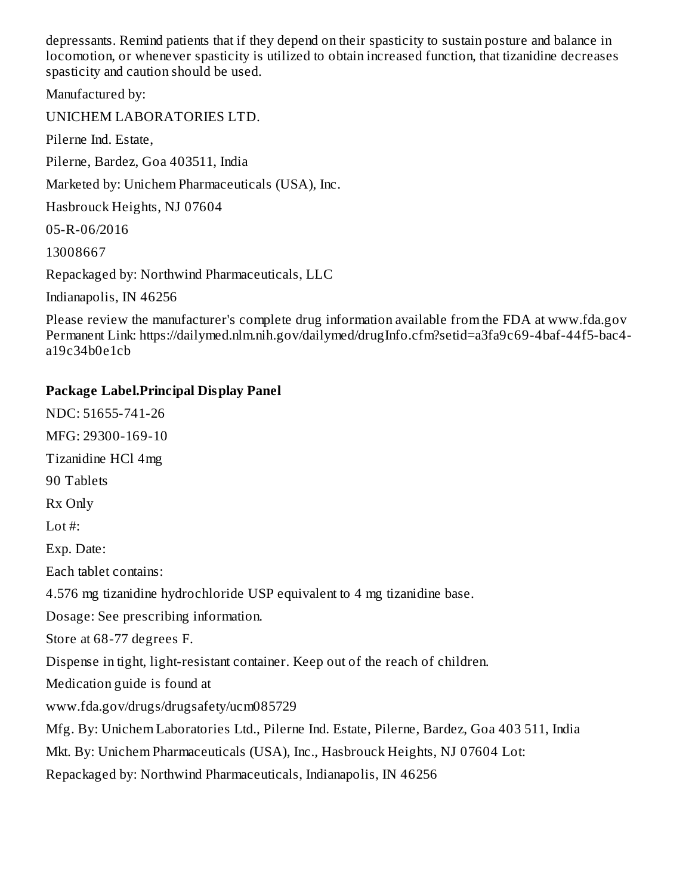depressants. Remind patients that if they depend on their spasticity to sustain posture and balance in locomotion, or whenever spasticity is utilized to obtain increased function, that tizanidine decreases spasticity and caution should be used.

Manufactured by:

UNICHEM LABORATORIES LTD.

Pilerne Ind. Estate,

Pilerne, Bardez, Goa 403511, India

Marketed by: Unichem Pharmaceuticals (USA), Inc.

Hasbrouck Heights, NJ 07604

05-R-06/2016

13008667

Repackaged by: Northwind Pharmaceuticals, LLC

Indianapolis, IN 46256

Please review the manufacturer's complete drug information available from the FDA at www.fda.gov Permanent Link: https://dailymed.nlm.nih.gov/dailymed/drugInfo.cfm?setid=a3fa9c69-4baf-44f5-bac4 a19c34b0e1cb

#### **Package Label.Principal Display Panel**

NDC: 51655-741-26 MFG: 29300-169-10 Tizanidine HCl 4mg 90 Tablets Rx Only Lot #: Exp. Date: Each tablet contains: 4.576 mg tizanidine hydrochloride USP equivalent to 4 mg tizanidine base. Dosage: See prescribing information. Store at 68-77 degrees F. Dispense in tight, light-resistant container. Keep out of the reach of children. Medication guide is found at www.fda.gov/drugs/drugsafety/ucm085729 Mfg. By: Unichem Laboratories Ltd., Pilerne Ind. Estate, Pilerne, Bardez, Goa 403 511, India Mkt. By: Unichem Pharmaceuticals (USA), Inc., Hasbrouck Heights, NJ 07604 Lot: Repackaged by: Northwind Pharmaceuticals, Indianapolis, IN 46256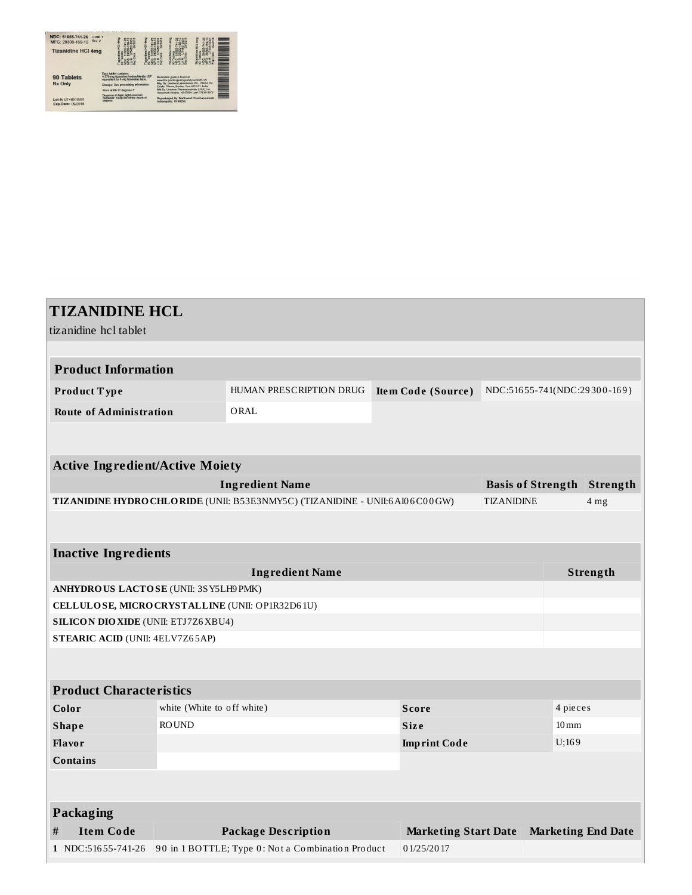| NDC: 51655-741-26<br>LCN#: 1<br>Rev. 2<br>MFG: 29300-169-10<br><b>Tizanidine HCI 4mg</b> |                                                                                                                                                                            |  |                                                                                                                                                                                                                                                                        | $\frac{1}{2}$ | Ξ |
|------------------------------------------------------------------------------------------|----------------------------------------------------------------------------------------------------------------------------------------------------------------------------|--|------------------------------------------------------------------------------------------------------------------------------------------------------------------------------------------------------------------------------------------------------------------------|---------------|---|
| <b>90 Tablets</b><br><b>Rx Only</b>                                                      | Fach tablet contains:<br>4.576 mg tizanidine hydrochloride USP<br>equivalent to 4 mg tizanidine base.<br>Dosage: See prescribing information.<br>Store at 68-77 degrees F. |  | Medication quide is found at<br>www.fda.cow/drugs/drugsafety/ucm085729<br>Mfg. By: Unichem Laboratories Ltd., Pileme Ind.<br>Estate, Pilerne, Bardez, Goa 403 511, India<br>Mid Ry. Unichem Pharmaceuticals (USA). Inc.<br>Hasbrouck Heights, NJ 07604 Lotal GTEH16073 |               |   |
| Lot #: UT48510001<br>Exp.Date: 09/2018                                                   | Dispense in tight, light-resistant<br>container. Keep out of the reach of<br>chédren                                                                                       |  | Repackaged By: Northwind Pharmaceuticals.<br>Indianapolis, IN 46256                                                                                                                                                                                                    |               |   |

| <b>TIZANIDINE HCL</b>                           |                                                    |                                                                              |  |                             |                   |                              |                           |  |
|-------------------------------------------------|----------------------------------------------------|------------------------------------------------------------------------------|--|-----------------------------|-------------------|------------------------------|---------------------------|--|
| tizanidine hcl tablet                           |                                                    |                                                                              |  |                             |                   |                              |                           |  |
|                                                 |                                                    |                                                                              |  |                             |                   |                              |                           |  |
| <b>Product Information</b>                      |                                                    |                                                                              |  |                             |                   |                              |                           |  |
| Product Type                                    |                                                    | HUMAN PRESCRIPTION DRUG                                                      |  | Item Code (Source)          |                   | NDC:51655-741(NDC:29300-169) |                           |  |
| <b>Route of Administration</b>                  |                                                    | ORAL                                                                         |  |                             |                   |                              |                           |  |
|                                                 |                                                    |                                                                              |  |                             |                   |                              |                           |  |
|                                                 |                                                    |                                                                              |  |                             |                   |                              |                           |  |
| <b>Active Ingredient/Active Moiety</b>          |                                                    |                                                                              |  |                             |                   |                              |                           |  |
|                                                 | <b>Ingredient Name</b><br><b>Basis of Strength</b> |                                                                              |  |                             |                   |                              | Strength                  |  |
|                                                 |                                                    | TIZANIDINE HYDRO CHLORIDE (UNII: B53E3NMY5C) (TIZANIDINE - UNII:6 AI06C00GW) |  |                             | <b>TIZANIDINE</b> |                              | 4 <sub>mg</sub>           |  |
|                                                 |                                                    |                                                                              |  |                             |                   |                              |                           |  |
|                                                 |                                                    |                                                                              |  |                             |                   |                              |                           |  |
| <b>Inactive Ingredients</b>                     |                                                    |                                                                              |  |                             |                   |                              |                           |  |
| <b>Ingredient Name</b>                          |                                                    |                                                                              |  |                             |                   | Strength                     |                           |  |
|                                                 | <b>ANHYDRO US LACTOSE (UNII: 3SY5LH9PMK)</b>       |                                                                              |  |                             |                   |                              |                           |  |
| CELLULOSE, MICRO CRYSTALLINE (UNII: OP1R32D61U) |                                                    |                                                                              |  |                             |                   |                              |                           |  |
| <b>SILICON DIO XIDE (UNII: ETJ7Z6 XBU4)</b>     |                                                    |                                                                              |  |                             |                   |                              |                           |  |
| STEARIC ACID (UNII: 4ELV7Z65AP)                 |                                                    |                                                                              |  |                             |                   |                              |                           |  |
|                                                 |                                                    |                                                                              |  |                             |                   |                              |                           |  |
|                                                 |                                                    |                                                                              |  |                             |                   |                              |                           |  |
| <b>Product Characteristics</b>                  |                                                    |                                                                              |  |                             |                   |                              |                           |  |
| Color                                           | white (White to off white)                         |                                                                              |  | <b>Score</b>                |                   |                              | 4 pieces                  |  |
| <b>Shape</b>                                    | <b>ROUND</b>                                       |                                                                              |  | <b>Size</b>                 |                   | $10 \,\mathrm{mm}$           |                           |  |
| <b>Flavor</b>                                   |                                                    |                                                                              |  | <b>Imprint Code</b>         |                   | U;169                        |                           |  |
| <b>Contains</b>                                 |                                                    |                                                                              |  |                             |                   |                              |                           |  |
|                                                 |                                                    |                                                                              |  |                             |                   |                              |                           |  |
| Packaging                                       |                                                    |                                                                              |  |                             |                   |                              |                           |  |
| <b>Item Code</b><br>#                           |                                                    | <b>Package Description</b>                                                   |  | <b>Marketing Start Date</b> |                   |                              | <b>Marketing End Date</b> |  |
| 1 NDC:51655-741-26                              |                                                    | 90 in 1 BOTTLE; Type 0: Not a Combination Product                            |  | 01/25/2017                  |                   |                              |                           |  |
|                                                 |                                                    |                                                                              |  |                             |                   |                              |                           |  |